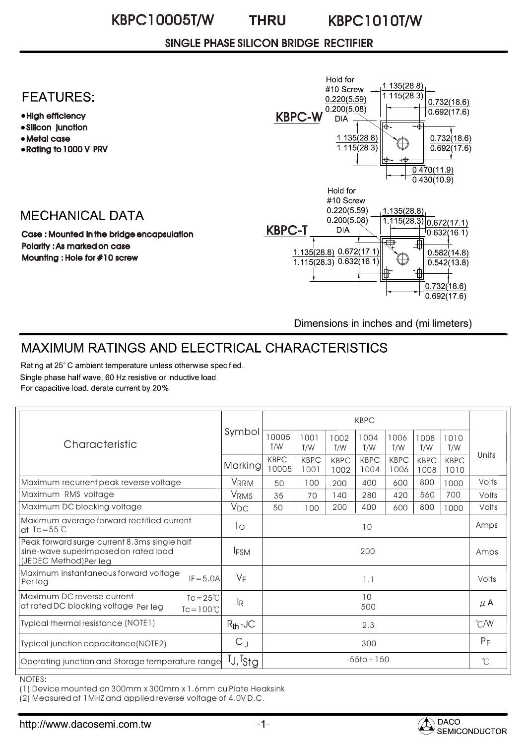### SINGLE PHASE SILICON BRIDGE RECTIFIER

### **FEATURES:**

- High efficiency
- Silicon junction
- Metal case
- Rating to 1000 V PRV

## **MECHANICAL DATA**

Case : Mounted in the bridge encapsulation Polarity : As marked on case Mounting : Hole for #10 screw



Dimensions in inches and (millimeters)

# MAXIMUM RATINGS AND ELECTRICAL CHARACTERISTICS

Rating at 25°C ambient temperature unless otherwise specified. Single phase half wave, 60 Hz resistive or inductive load. For capacitive load. derate current by 20%.

| Characteristic                                                                                                  | Symbol            | <b>KBPC</b>          |                     |                     |                     |                     |                     |                     |                      |
|-----------------------------------------------------------------------------------------------------------------|-------------------|----------------------|---------------------|---------------------|---------------------|---------------------|---------------------|---------------------|----------------------|
|                                                                                                                 |                   | 10005<br>T/W         | 1001<br>T/W         | 1002<br>T/W         | 1004<br>T/W         | 1006<br>T/W         | 1008<br>T/W         | 1010<br>T/W         | Units                |
|                                                                                                                 | Marking           | <b>KBPC</b><br>10005 | <b>KBPC</b><br>1001 | <b>KBPC</b><br>1002 | <b>KBPC</b><br>1004 | <b>KBPC</b><br>1006 | <b>KBPC</b><br>1008 | <b>KBPC</b><br>1010 |                      |
| Maximum recurrent peak reverse voltage                                                                          | <b>VRRM</b>       | 50                   | 100                 | 200                 | 400                 | 600                 | 800                 | 1000                | Volts                |
| Maximum RMS voltage                                                                                             | VRMS              | 35                   | 70                  | 140                 | 280                 | 420                 | 560                 | 700                 | Volts                |
| Maximum DC blocking voltage                                                                                     | $V_{DC}$          | 50                   | 100                 | 200                 | 400                 | 600                 | 800                 | 1000                | Volts                |
| Maximum average forward rectified current<br>at $Tc = 55^{\circ}C$                                              | Ιo                | 10                   |                     |                     |                     |                     |                     | Amps                |                      |
| Peak forward surge current 8.3ms single half<br>sine-wave superimposed on rated load<br>(JEDEC Method)Per leg   | <b>IFSM</b>       | 200                  |                     |                     |                     |                     |                     |                     | Amps                 |
| Maximum instantaneous forward voltage<br>$IF = 5.0A$<br>Per leg                                                 | $V_F$             | 1.1                  |                     |                     |                     |                     |                     |                     | Volts                |
| Maximum DC reverse current<br>$Tc = 25^{\circ}C$<br>at rated DC blocking voltage Per leg<br>$Tc = 100^{\circ}C$ | l <sub>R</sub>    | 10<br>500            |                     |                     |                     |                     |                     |                     | $\mu$ A              |
| Typical thermal resistance (NOTE1)                                                                              | $R_{th}$ -JC      | 2.3                  |                     |                     |                     |                     |                     |                     | $\degree$ C/W        |
| Typical junction capacitance(NOTE2)                                                                             | $C_J$             | 300                  |                     |                     |                     |                     |                     |                     | $P_F$                |
| Operating junction and Storage temperature range                                                                | $T_J$ , $T_{Stg}$ | $-55$ to + 150       |                     |                     |                     |                     |                     |                     | $\mathrm{C}^{\circ}$ |

NOTES:

(1) Device mounted on 300mm x 300mm x 1.6mm cu Plate Heaksink

(2) Measured at 1MHZ and applied reverse voltage of 4.0V D.C.

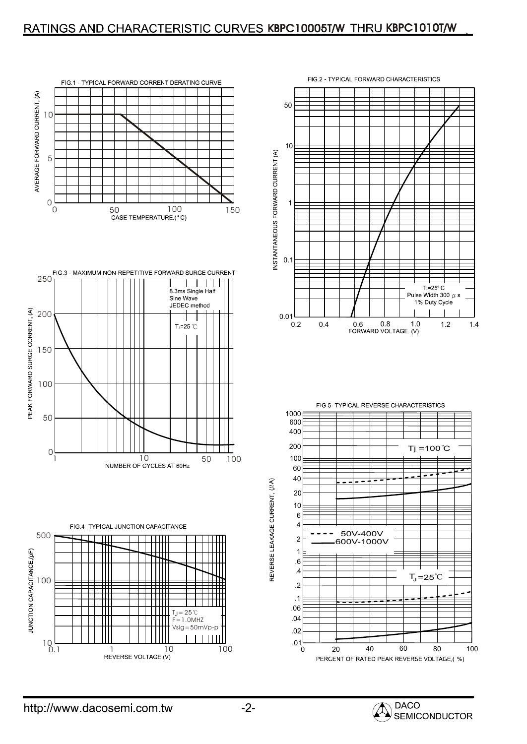#### RATINGS AND CHARACTERISTIC CURVES KBPC10005T/W THRU KBPC1010T/W



FIG.3 - MAXIMUM NON-REPETITIVE FORWARD SURGE CURRENT<br>250  $\mathbf{I}$  $\mathbf{I}$ 8.3ms Single Half Sine Wave JEDEC method PEAK FORWARD SURGE CORRENT, (A) 200  $T_1 = 25$  °C 150 100 50  $0<sub>1</sub>$ 10 50 100<br>NUMBER OF CYCLES AT 60Hz





FIG.5- TYPICAL REVERSE CHARACTERISTICS